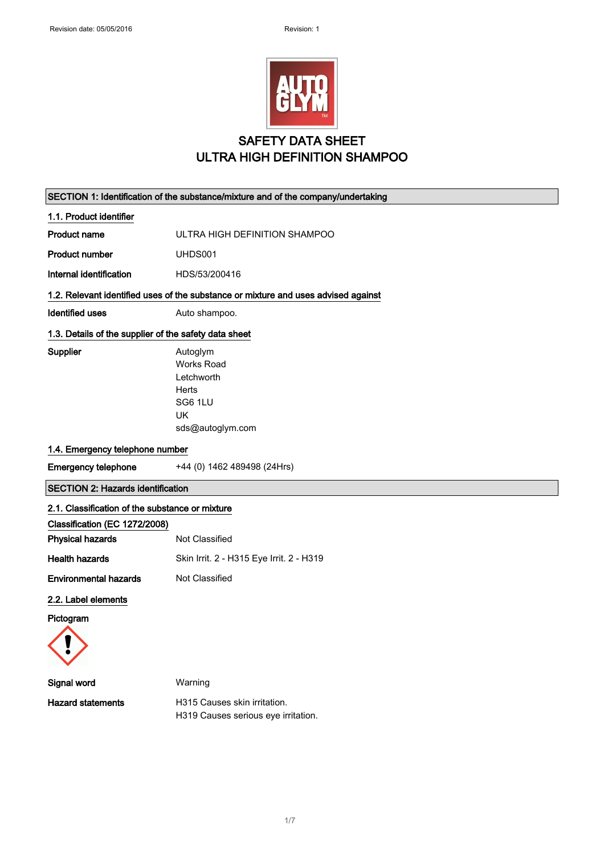

## SAFETY DATA SHEET ULTRA HIGH DEFINITION SHAMPOO

|                                                       | SECTION 1: Identification of the substance/mixture and of the company/undertaking         |
|-------------------------------------------------------|-------------------------------------------------------------------------------------------|
| 1.1. Product identifier                               |                                                                                           |
| <b>Product name</b>                                   | ULTRA HIGH DEFINITION SHAMPOO                                                             |
| <b>Product number</b>                                 | UHDS001                                                                                   |
| Internal identification                               | HDS/53/200416                                                                             |
|                                                       | 1.2. Relevant identified uses of the substance or mixture and uses advised against        |
| <b>Identified uses</b>                                | Auto shampoo.                                                                             |
| 1.3. Details of the supplier of the safety data sheet |                                                                                           |
| Supplier                                              | Autoglym<br><b>Works Road</b><br>Letchworth<br>Herts<br>SG6 1LU<br>UK<br>sds@autoglym.com |
| 1.4. Emergency telephone number                       |                                                                                           |
| <b>Emergency telephone</b>                            | +44 (0) 1462 489498 (24Hrs)                                                               |
|                                                       |                                                                                           |
| <b>SECTION 2: Hazards identification</b>              |                                                                                           |
| 2.1. Classification of the substance or mixture       |                                                                                           |
| Classification (EC 1272/2008)                         |                                                                                           |
| <b>Physical hazards</b>                               | Not Classified                                                                            |
| <b>Health hazards</b>                                 | Skin Irrit. 2 - H315 Eye Irrit. 2 - H319                                                  |
| <b>Environmental hazards</b>                          | Not Classified                                                                            |
| 2.2. Label elements                                   |                                                                                           |
| Pictogram                                             |                                                                                           |
| Signal word                                           | Warning                                                                                   |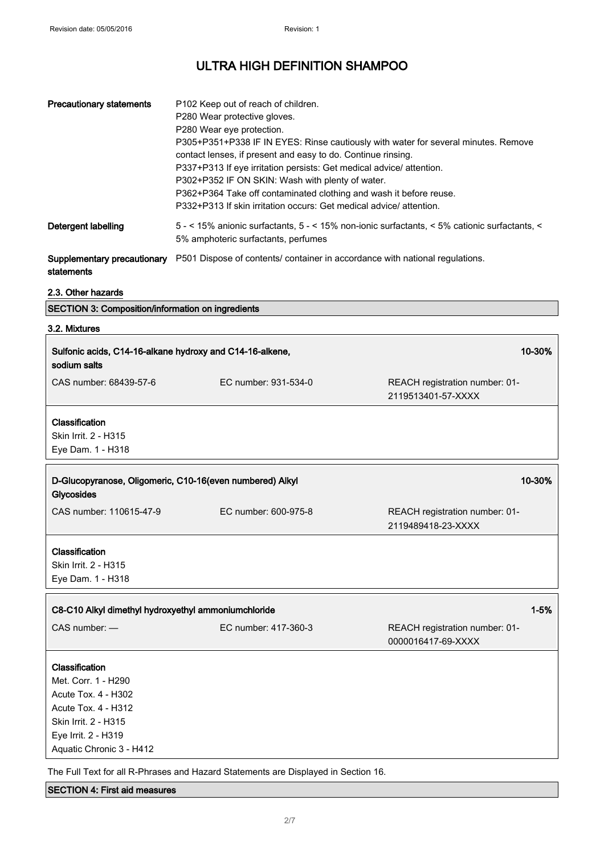| <b>Precautionary statements</b> | P <sub>102</sub> Keep out of reach of children.<br>P280 Wear protective gloves.<br>P280 Wear eye protection.<br>P305+P351+P338 IF IN EYES: Rinse cautiously with water for several minutes. Remove<br>contact lenses, if present and easy to do. Continue rinsing.<br>P337+P313 If eye irritation persists: Get medical advice/ attention.<br>P302+P352 IF ON SKIN: Wash with plenty of water.<br>P362+P364 Take off contaminated clothing and wash it before reuse.<br>P332+P313 If skin irritation occurs: Get medical advice/attention. |
|---------------------------------|--------------------------------------------------------------------------------------------------------------------------------------------------------------------------------------------------------------------------------------------------------------------------------------------------------------------------------------------------------------------------------------------------------------------------------------------------------------------------------------------------------------------------------------------|
| Detergent labelling             | 5 - < 15% anionic surfactants, 5 - < 15% non-ionic surfactants, < 5% cationic surfactants, <<br>5% amphoteric surfactants, perfumes                                                                                                                                                                                                                                                                                                                                                                                                        |
|                                 | <b>Supplementary precautionary</b> P501 Dispose of contents/ container in accordance with national regulations.                                                                                                                                                                                                                                                                                                                                                                                                                            |

statements

### 2.3. Other hazards

|  | <b>SECTION 3: Composition/information on ingredients</b> |  |  |  |
|--|----------------------------------------------------------|--|--|--|
|--|----------------------------------------------------------|--|--|--|

# 3.2. Mixtures

| Sulfonic acids, C14-16-alkane hydroxy and C14-16-alkene,<br>sodium salts                                                                                       |                                                                                    | 10-30%                                               |
|----------------------------------------------------------------------------------------------------------------------------------------------------------------|------------------------------------------------------------------------------------|------------------------------------------------------|
| CAS number: 68439-57-6                                                                                                                                         | EC number: 931-534-0                                                               | REACH registration number: 01-<br>2119513401-57-XXXX |
| Classification<br>Skin Irrit. 2 - H315<br>Eye Dam. 1 - H318                                                                                                    |                                                                                    |                                                      |
| D-Glucopyranose, Oligomeric, C10-16(even numbered) Alkyl<br>Glycosides                                                                                         |                                                                                    | 10-30%                                               |
| CAS number: 110615-47-9                                                                                                                                        | EC number: 600-975-8                                                               | REACH registration number: 01-<br>2119489418-23-XXXX |
| Classification<br>Skin Irrit. 2 - H315<br>Eye Dam. 1 - H318                                                                                                    |                                                                                    |                                                      |
| $1 - 5%$<br>C8-C10 Alkyl dimethyl hydroxyethyl ammoniumchloride                                                                                                |                                                                                    |                                                      |
| CAS number: -                                                                                                                                                  | EC number: 417-360-3                                                               | REACH registration number: 01-<br>0000016417-69-XXXX |
| Classification<br>Met. Corr. 1 - H290<br>Acute Tox. 4 - H302<br>Acute Tox. 4 - H312<br>Skin Irrit. 2 - H315<br>Eye Irrit. 2 - H319<br>Aquatic Chronic 3 - H412 | The Full Text for all R-Phrases and Hazard Statements are Displayed in Section 16. |                                                      |

### SECTION 4: First aid measures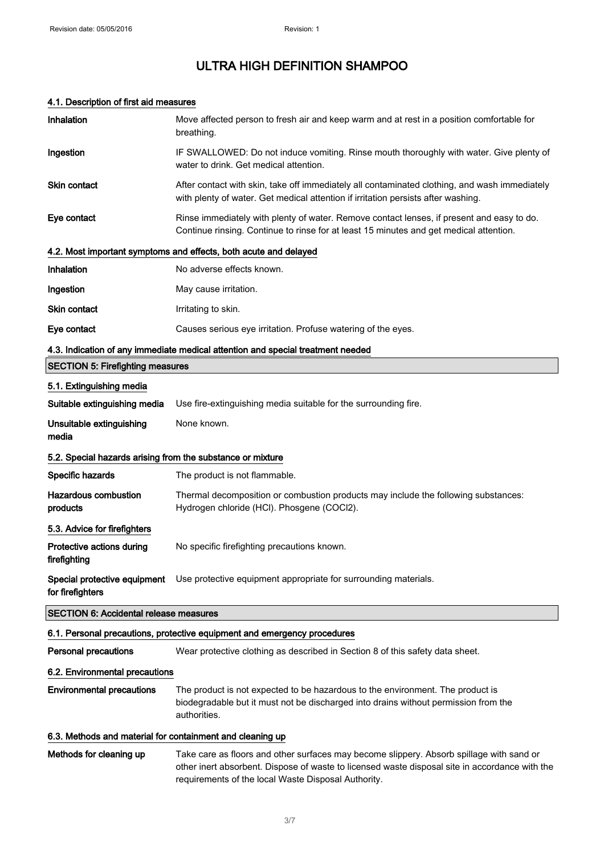### 4.1. Description of first aid measures

| Inhalation                                                 | Move affected person to fresh air and keep warm and at rest in a position comfortable for<br>breathing.                                                                                                                                           |
|------------------------------------------------------------|---------------------------------------------------------------------------------------------------------------------------------------------------------------------------------------------------------------------------------------------------|
| Ingestion                                                  | IF SWALLOWED: Do not induce vomiting. Rinse mouth thoroughly with water. Give plenty of<br>water to drink. Get medical attention.                                                                                                                 |
| <b>Skin contact</b>                                        | After contact with skin, take off immediately all contaminated clothing, and wash immediately<br>with plenty of water. Get medical attention if irritation persists after washing.                                                                |
| Eye contact                                                | Rinse immediately with plenty of water. Remove contact lenses, if present and easy to do.<br>Continue rinsing. Continue to rinse for at least 15 minutes and get medical attention.                                                               |
|                                                            | 4.2. Most important symptoms and effects, both acute and delayed                                                                                                                                                                                  |
| Inhalation                                                 | No adverse effects known.                                                                                                                                                                                                                         |
| Ingestion                                                  | May cause irritation.                                                                                                                                                                                                                             |
| <b>Skin contact</b>                                        | Irritating to skin.                                                                                                                                                                                                                               |
| Eye contact                                                | Causes serious eye irritation. Profuse watering of the eyes.                                                                                                                                                                                      |
|                                                            | 4.3. Indication of any immediate medical attention and special treatment needed                                                                                                                                                                   |
| <b>SECTION 5: Firefighting measures</b>                    |                                                                                                                                                                                                                                                   |
| 5.1. Extinguishing media                                   |                                                                                                                                                                                                                                                   |
| Suitable extinguishing media                               | Use fire-extinguishing media suitable for the surrounding fire.                                                                                                                                                                                   |
| Unsuitable extinguishing<br>media                          | None known.                                                                                                                                                                                                                                       |
| 5.2. Special hazards arising from the substance or mixture |                                                                                                                                                                                                                                                   |
| Specific hazards                                           | The product is not flammable.                                                                                                                                                                                                                     |
| <b>Hazardous combustion</b><br>products                    | Thermal decomposition or combustion products may include the following substances:<br>Hydrogen chloride (HCl). Phosgene (COCl2).                                                                                                                  |
| 5.3. Advice for firefighters                               |                                                                                                                                                                                                                                                   |
| Protective actions during<br>firefighting                  | No specific firefighting precautions known.                                                                                                                                                                                                       |
| for firefighters                                           | Special protective equipment Use protective equipment appropriate for surrounding materials.                                                                                                                                                      |
| <b>SECTION 6: Accidental release measures</b>              |                                                                                                                                                                                                                                                   |
|                                                            | 6.1. Personal precautions, protective equipment and emergency procedures                                                                                                                                                                          |
| <b>Personal precautions</b>                                | Wear protective clothing as described in Section 8 of this safety data sheet.                                                                                                                                                                     |
| 6.2. Environmental precautions                             |                                                                                                                                                                                                                                                   |
| <b>Environmental precautions</b>                           | The product is not expected to be hazardous to the environment. The product is<br>biodegradable but it must not be discharged into drains without permission from the<br>authorities.                                                             |
| 6.3. Methods and material for containment and cleaning up  |                                                                                                                                                                                                                                                   |
| Methods for cleaning up                                    | Take care as floors and other surfaces may become slippery. Absorb spillage with sand or<br>other inert absorbent. Dispose of waste to licensed waste disposal site in accordance with the<br>requirements of the local Waste Disposal Authority. |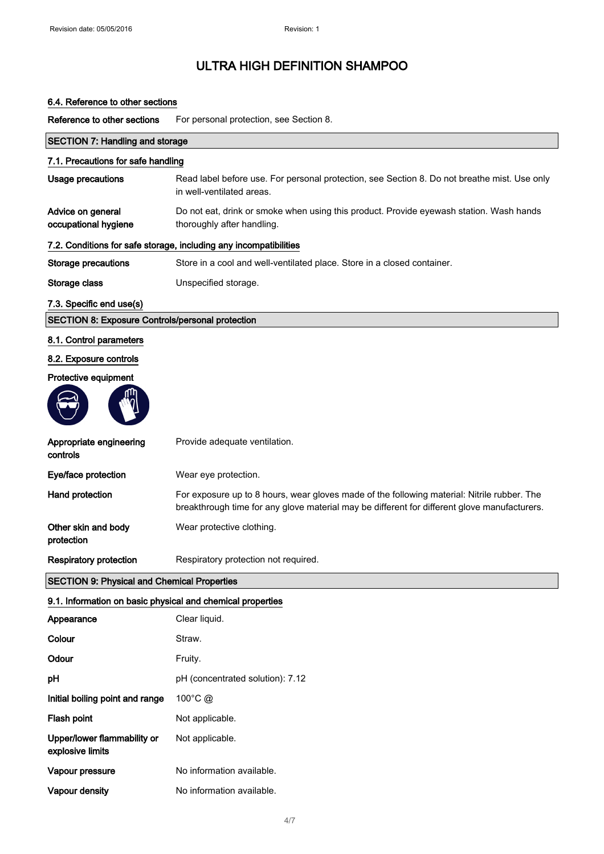### 6.4. Reference to other sections

Reference to other sections For personal protection, see Section 8.

| <b>SECTION 7: Handling and storage</b>                     |                                                                                                                                                                                             |
|------------------------------------------------------------|---------------------------------------------------------------------------------------------------------------------------------------------------------------------------------------------|
| 7.1. Precautions for safe handling                         |                                                                                                                                                                                             |
| <b>Usage precautions</b>                                   | Read label before use. For personal protection, see Section 8. Do not breathe mist. Use only<br>in well-ventilated areas.                                                                   |
| Advice on general<br>occupational hygiene                  | Do not eat, drink or smoke when using this product. Provide eyewash station. Wash hands<br>thoroughly after handling.                                                                       |
|                                                            | 7.2. Conditions for safe storage, including any incompatibilities                                                                                                                           |
| <b>Storage precautions</b>                                 | Store in a cool and well-ventilated place. Store in a closed container.                                                                                                                     |
| Storage class                                              | Unspecified storage.                                                                                                                                                                        |
| 7.3. Specific end use(s)                                   |                                                                                                                                                                                             |
| <b>SECTION 8: Exposure Controls/personal protection</b>    |                                                                                                                                                                                             |
| 8.1. Control parameters                                    |                                                                                                                                                                                             |
| 8.2. Exposure controls                                     |                                                                                                                                                                                             |
| Protective equipment                                       |                                                                                                                                                                                             |
| Appropriate engineering<br>controls                        | Provide adequate ventilation.                                                                                                                                                               |
| Eye/face protection                                        | Wear eye protection.                                                                                                                                                                        |
| Hand protection                                            | For exposure up to 8 hours, wear gloves made of the following material: Nitrile rubber. The<br>breakthrough time for any glove material may be different for different glove manufacturers. |
| Other skin and body<br>protection                          | Wear protective clothing.                                                                                                                                                                   |
| <b>Respiratory protection</b>                              | Respiratory protection not required.                                                                                                                                                        |
| <b>SECTION 9: Physical and Chemical Properties</b>         |                                                                                                                                                                                             |
| 9.1. Information on basic physical and chemical properties |                                                                                                                                                                                             |
| Appearance                                                 | Clear liquid.                                                                                                                                                                               |
| Colour                                                     | Straw                                                                                                                                                                                       |

| Colour                                          | Straw.                           |
|-------------------------------------------------|----------------------------------|
| Odour                                           | Fruity.                          |
| рH                                              | pH (concentrated solution): 7.12 |
| Initial boiling point and range                 | $100^{\circ}$ C @                |
| Flash point                                     | Not applicable.                  |
| Upper/lower flammability or<br>explosive limits | Not applicable.                  |
| Vapour pressure                                 | No information available.        |
| <b>Vapour density</b>                           | No information available.        |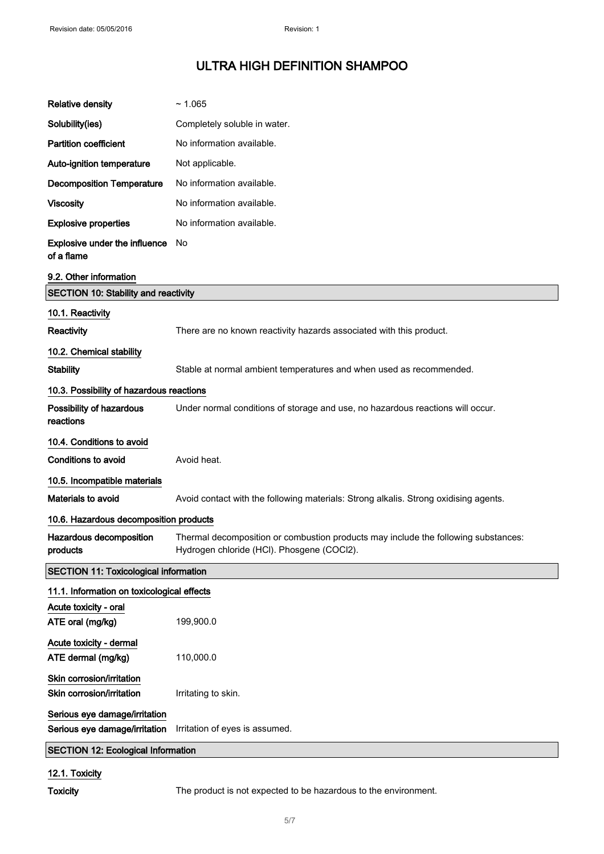| <b>Relative density</b>                                        | ~1.065                                                                                                                           |
|----------------------------------------------------------------|----------------------------------------------------------------------------------------------------------------------------------|
| Solubility(ies)                                                | Completely soluble in water.                                                                                                     |
| <b>Partition coefficient</b>                                   | No information available.                                                                                                        |
| Auto-ignition temperature                                      | Not applicable.                                                                                                                  |
| <b>Decomposition Temperature</b>                               | No information available.                                                                                                        |
| <b>Viscosity</b>                                               | No information available.                                                                                                        |
| <b>Explosive properties</b>                                    | No information available.                                                                                                        |
| Explosive under the influence<br>of a flame                    | No.                                                                                                                              |
| 9.2. Other information                                         |                                                                                                                                  |
| <b>SECTION 10: Stability and reactivity</b>                    |                                                                                                                                  |
| 10.1. Reactivity                                               |                                                                                                                                  |
| Reactivity                                                     | There are no known reactivity hazards associated with this product.                                                              |
| 10.2. Chemical stability                                       |                                                                                                                                  |
| <b>Stability</b>                                               | Stable at normal ambient temperatures and when used as recommended.                                                              |
| 10.3. Possibility of hazardous reactions                       |                                                                                                                                  |
| Possibility of hazardous<br>reactions                          | Under normal conditions of storage and use, no hazardous reactions will occur.                                                   |
| 10.4. Conditions to avoid                                      |                                                                                                                                  |
| Conditions to avoid                                            | Avoid heat.                                                                                                                      |
| 10.5. Incompatible materials                                   |                                                                                                                                  |
| Materials to avoid                                             | Avoid contact with the following materials: Strong alkalis. Strong oxidising agents.                                             |
| 10.6. Hazardous decomposition products                         |                                                                                                                                  |
| Hazardous decomposition<br>products                            | Thermal decomposition or combustion products may include the following substances:<br>Hydrogen chloride (HCI). Phosgene (COCI2). |
| <b>SECTION 11: Toxicological information</b>                   |                                                                                                                                  |
| 11.1. Information on toxicological effects                     |                                                                                                                                  |
| Acute toxicity - oral<br>ATE oral (mg/kg)                      | 199,900.0                                                                                                                        |
| Acute toxicity - dermal<br>ATE dermal (mg/kg)                  | 110,000.0                                                                                                                        |
| Skin corrosion/irritation<br>Skin corrosion/irritation         | Irritating to skin.                                                                                                              |
| Serious eye damage/irritation<br>Serious eye damage/irritation | Irritation of eyes is assumed.                                                                                                   |
| <b>SECTION 12: Ecological Information</b>                      |                                                                                                                                  |
|                                                                |                                                                                                                                  |

### 12.1. Toxicity

Toxicity The product is not expected to be hazardous to the environment.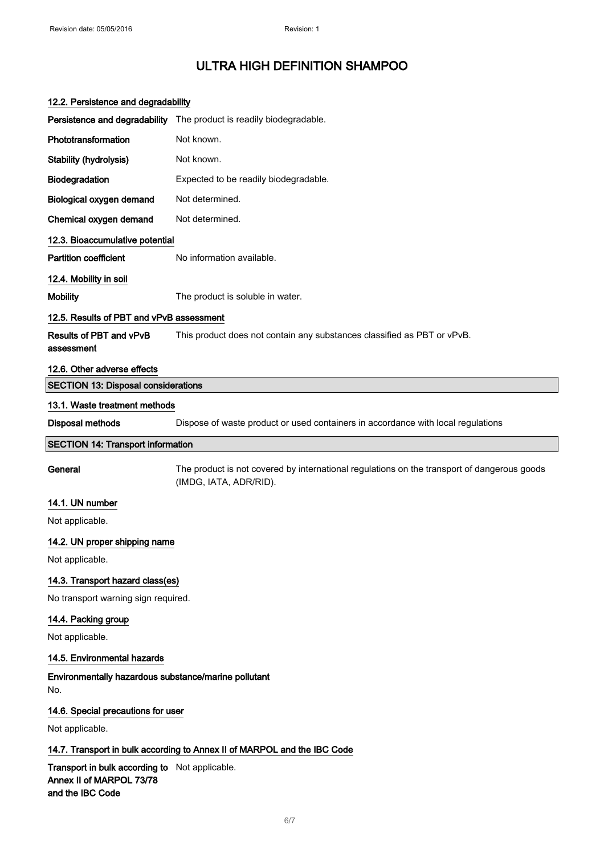| 12.2. Persistence and degradability                                                            |                                                                                                                       |
|------------------------------------------------------------------------------------------------|-----------------------------------------------------------------------------------------------------------------------|
|                                                                                                | Persistence and degradability The product is readily biodegradable.                                                   |
| Phototransformation                                                                            | Not known.                                                                                                            |
| <b>Stability (hydrolysis)</b>                                                                  | Not known.                                                                                                            |
| Biodegradation                                                                                 | Expected to be readily biodegradable.                                                                                 |
| Biological oxygen demand                                                                       | Not determined.                                                                                                       |
| Chemical oxygen demand                                                                         | Not determined.                                                                                                       |
| 12.3. Bioaccumulative potential                                                                |                                                                                                                       |
| <b>Partition coefficient</b>                                                                   | No information available.                                                                                             |
| 12.4. Mobility in soil                                                                         |                                                                                                                       |
| <b>Mobility</b>                                                                                | The product is soluble in water.                                                                                      |
| 12.5. Results of PBT and vPvB assessment                                                       |                                                                                                                       |
| Results of PBT and vPvB<br>assessment                                                          | This product does not contain any substances classified as PBT or vPvB.                                               |
| 12.6. Other adverse effects                                                                    |                                                                                                                       |
| <b>SECTION 13: Disposal considerations</b>                                                     |                                                                                                                       |
| 13.1. Waste treatment methods                                                                  |                                                                                                                       |
| <b>Disposal methods</b>                                                                        | Dispose of waste product or used containers in accordance with local regulations                                      |
| <b>SECTION 14: Transport information</b>                                                       |                                                                                                                       |
| General                                                                                        | The product is not covered by international regulations on the transport of dangerous goods<br>(IMDG, IATA, ADR/RID). |
| 14.1. UN number                                                                                |                                                                                                                       |
| Not applicable.                                                                                |                                                                                                                       |
| 14.2. UN proper shipping name                                                                  |                                                                                                                       |
| Not applicable.                                                                                |                                                                                                                       |
| 14.3. Transport hazard class(es)                                                               |                                                                                                                       |
| No transport warning sign required.                                                            |                                                                                                                       |
| 14.4. Packing group                                                                            |                                                                                                                       |
| Not applicable.                                                                                |                                                                                                                       |
| 14.5. Environmental hazards                                                                    |                                                                                                                       |
| Environmentally hazardous substance/marine pollutant<br>No.                                    |                                                                                                                       |
| 14.6. Special precautions for user                                                             |                                                                                                                       |
| Not applicable.                                                                                |                                                                                                                       |
|                                                                                                | 14.7. Transport in bulk according to Annex II of MARPOL and the IBC Code                                              |
| Transport in bulk according to Not applicable.<br>Annex II of MARPOL 73/78<br>and the IBC Code |                                                                                                                       |